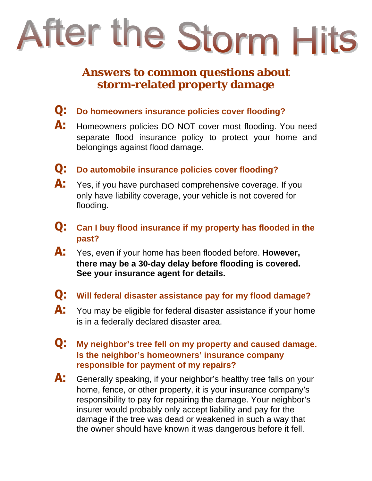

## **Answers to common questions about storm-related property damage**

- Q: **Do homeowners insurance policies cover flooding?**
- A: Homeowners policies DO NOT cover most flooding. You need separate flood insurance policy to protect your home and belongings against flood damage.
- Q: **Do automobile insurance policies cover flooding?**
- A: Yes, if you have purchased comprehensive coverage. If you only have liability coverage, your vehicle is not covered for flooding.
- Q: **Can I buy flood insurance if my property has flooded in the past?**
- A: Yes, even if your home has been flooded before. **However, there may be a 30-day delay before flooding is covered. See your insurance agent for details.**
- Q: **Will federal disaster assistance pay for my flood damage?**
- A: You may be eligible for federal disaster assistance if your home is in a federally declared disaster area.
- Q: **My neighbor's tree fell on my property and caused damage. Is the neighbor's homeowners' insurance company responsible for payment of my repairs?**
- A: Generally speaking, if your neighbor's healthy tree falls on your home, fence, or other property, it is your insurance company's responsibility to pay for repairing the damage. Your neighbor's insurer would probably only accept liability and pay for the damage if the tree was dead or weakened in such a way that the owner should have known it was dangerous before it fell.